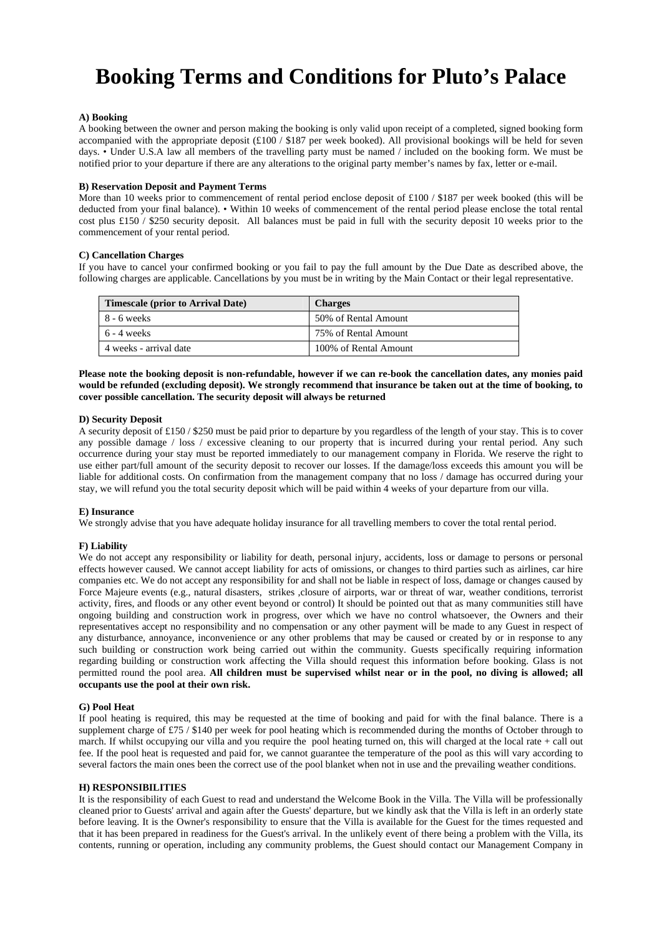# **Booking Terms and Conditions for Pluto's Palace**

# **A) Booking**

A booking between the owner and person making the booking is only valid upon receipt of a completed, signed booking form accompanied with the appropriate deposit  $(\text{\pounds}100 / \text{\pounds}187)$  per week booked). All provisional bookings will be held for seven days. • Under U.S.A law all members of the travelling party must be named / included on the booking form. We must be notified prior to your departure if there are any alterations to the original party member's names by fax, letter or e-mail.

#### **B) Reservation Deposit and Payment Terms**

More than 10 weeks prior to commencement of rental period enclose deposit of £100 / \$187 per week booked (this will be deducted from your final balance). • Within 10 weeks of commencement of the rental period please enclose the total rental cost plus £150 / \$250 security deposit. All balances must be paid in full with the security deposit 10 weeks prior to the commencement of your rental period.

#### **C) Cancellation Charges**

If you have to cancel your confirmed booking or you fail to pay the full amount by the Due Date as described above, the following charges are applicable. Cancellations by you must be in writing by the Main Contact or their legal representative.

| <b>Timescale (prior to Arrival Date)</b> | <b>Charges</b>        |
|------------------------------------------|-----------------------|
| $8 - 6$ weeks                            | 50% of Rental Amount  |
| $6 - 4$ weeks                            | 75% of Rental Amount  |
| 4 weeks - arrival date                   | 100% of Rental Amount |

**Please note the booking deposit is non-refundable, however if we can re-book the cancellation dates, any monies paid would be refunded (excluding deposit). We strongly recommend that insurance be taken out at the time of booking, to cover possible cancellation. The security deposit will always be returned** 

#### **D) Security Deposit**

A security deposit of £150 / \$250 must be paid prior to departure by you regardless of the length of your stay. This is to cover any possible damage / loss / excessive cleaning to our property that is incurred during your rental period. Any such occurrence during your stay must be reported immediately to our management company in Florida. We reserve the right to use either part/full amount of the security deposit to recover our losses. If the damage/loss exceeds this amount you will be liable for additional costs. On confirmation from the management company that no loss / damage has occurred during your stay, we will refund you the total security deposit which will be paid within 4 weeks of your departure from our villa.

#### **E) Insurance**

We strongly advise that you have adequate holiday insurance for all travelling members to cover the total rental period.

## **F) Liability**

We do not accept any responsibility or liability for death, personal injury, accidents, loss or damage to persons or personal effects however caused. We cannot accept liability for acts of omissions, or changes to third parties such as airlines, car hire companies etc. We do not accept any responsibility for and shall not be liable in respect of loss, damage or changes caused by Force Majeure events (e.g., natural disasters, strikes ,closure of airports, war or threat of war, weather conditions, terrorist activity, fires, and floods or any other event beyond or control) It should be pointed out that as many communities still have ongoing building and construction work in progress, over which we have no control whatsoever, the Owners and their representatives accept no responsibility and no compensation or any other payment will be made to any Guest in respect of any disturbance, annoyance, inconvenience or any other problems that may be caused or created by or in response to any such building or construction work being carried out within the community. Guests specifically requiring information regarding building or construction work affecting the Villa should request this information before booking. Glass is not permitted round the pool area. **All children must be supervised whilst near or in the pool, no diving is allowed; all occupants use the pool at their own risk.**

#### **G) Pool Heat**

If pool heating is required, this may be requested at the time of booking and paid for with the final balance. There is a supplement charge of £75 / \$140 per week for pool heating which is recommended during the months of October through to march. If whilst occupying our villa and you require the pool heating turned on, this will charged at the local rate + call out fee. If the pool heat is requested and paid for, we cannot guarantee the temperature of the pool as this will vary according to several factors the main ones been the correct use of the pool blanket when not in use and the prevailing weather conditions.

## **H) RESPONSIBILITIES**

It is the responsibility of each Guest to read and understand the Welcome Book in the Villa. The Villa will be professionally cleaned prior to Guests' arrival and again after the Guests' departure, but we kindly ask that the Villa is left in an orderly state before leaving. It is the Owner's responsibility to ensure that the Villa is available for the Guest for the times requested and that it has been prepared in readiness for the Guest's arrival. In the unlikely event of there being a problem with the Villa, its contents, running or operation, including any community problems, the Guest should contact our Management Company in